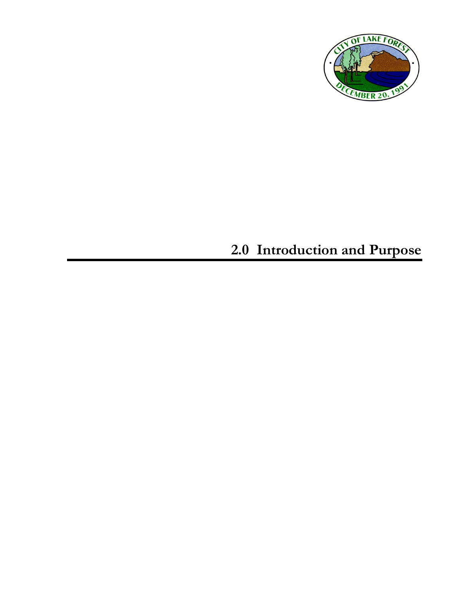

# **2.0 Introduction and Purpose**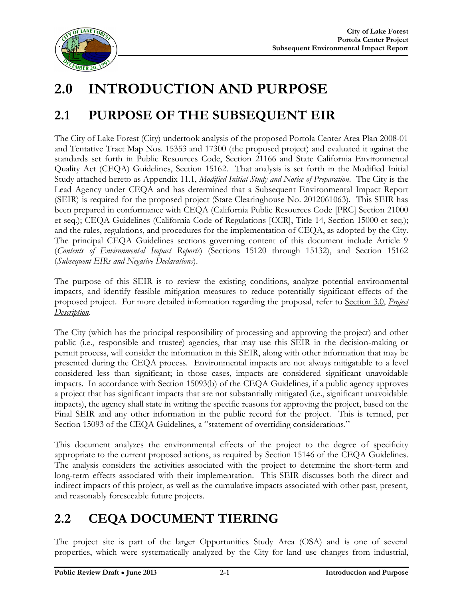

# **2.0 INTRODUCTION AND PURPOSE**

## **2.1 PURPOSE OF THE SUBSEQUENT EIR**

The City of Lake Forest (City) undertook analysis of the proposed Portola Center Area Plan 2008-01 and Tentative Tract Map Nos. 15353 and 17300 (the proposed project) and evaluated it against the standards set forth in Public Resources Code, Section 21166 and State California Environmental Quality Act (CEQA) Guidelines, Section 15162. That analysis is set forth in the Modified Initial Study attached hereto as Appendix 11.1, *Modified Initial Study and Notice of Preparation*. The City is the Lead Agency under CEQA and has determined that a Subsequent Environmental Impact Report (SEIR) is required for the proposed project (State Clearinghouse No. 2012061063). This SEIR has been prepared in conformance with CEQA (California Public Resources Code [PRC] Section 21000 et seq.); CEQA Guidelines (California Code of Regulations [CCR], Title 14, Section 15000 et seq.); and the rules, regulations, and procedures for the implementation of CEQA, as adopted by the City. The principal CEQA Guidelines sections governing content of this document include Article 9 (*Contents of Environmental Impact Reports*) (Sections 15120 through 15132), and Section 15162 (*Subsequent EIRs and Negative Declarations*).

The purpose of this SEIR is to review the existing conditions, analyze potential environmental impacts, and identify feasible mitigation measures to reduce potentially significant effects of the proposed project. For more detailed information regarding the proposal, refer to Section 3.0, *Project Description*.

The City (which has the principal responsibility of processing and approving the project) and other public (i.e., responsible and trustee) agencies, that may use this SEIR in the decision-making or permit process, will consider the information in this SEIR, along with other information that may be presented during the CEQA process. Environmental impacts are not always mitigatable to a level considered less than significant; in those cases, impacts are considered significant unavoidable impacts. In accordance with Section 15093(b) of the CEQA Guidelines, if a public agency approves a project that has significant impacts that are not substantially mitigated (i.e., significant unavoidable impacts), the agency shall state in writing the specific reasons for approving the project, based on the Final SEIR and any other information in the public record for the project. This is termed, per Section 15093 of the CEQA Guidelines, a "statement of overriding considerations."

This document analyzes the environmental effects of the project to the degree of specificity appropriate to the current proposed actions, as required by Section 15146 of the CEQA Guidelines. The analysis considers the activities associated with the project to determine the short-term and long-term effects associated with their implementation. This SEIR discusses both the direct and indirect impacts of this project, as well as the cumulative impacts associated with other past, present, and reasonably foreseeable future projects.

### **2.2 CEQA DOCUMENT TIERING**

The project site is part of the larger Opportunities Study Area (OSA) and is one of several properties, which were systematically analyzed by the City for land use changes from industrial,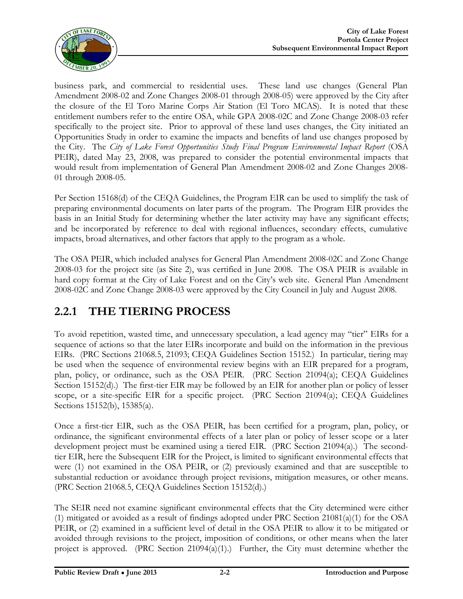

business park, and commercial to residential uses. These land use changes (General Plan Amendment 2008-02 and Zone Changes 2008-01 through 2008-05) were approved by the City after the closure of the El Toro Marine Corps Air Station (El Toro MCAS). It is noted that these entitlement numbers refer to the entire OSA, while GPA 2008-02C and Zone Change 2008-03 refer specifically to the project site. Prior to approval of these land uses changes, the City initiated an Opportunities Study in order to examine the impacts and benefits of land use changes proposed by the City. The *City of Lake Forest Opportunities Study Final Program Environmental Impact Report* (OSA PEIR), dated May 23, 2008, was prepared to consider the potential environmental impacts that would result from implementation of General Plan Amendment 2008-02 and Zone Changes 2008- 01 through 2008-05.

Per Section 15168(d) of the CEQA Guidelines, the Program EIR can be used to simplify the task of preparing environmental documents on later parts of the program. The Program EIR provides the basis in an Initial Study for determining whether the later activity may have any significant effects; and be incorporated by reference to deal with regional influences, secondary effects, cumulative impacts, broad alternatives, and other factors that apply to the program as a whole.

The OSA PEIR, which included analyses for General Plan Amendment 2008-02C and Zone Change 2008-03 for the project site (as Site 2), was certified in June 2008. The OSA PEIR is available in hard copy format at the City of Lake Forest and on the City's web site. General Plan Amendment 2008-02C and Zone Change 2008-03 were approved by the City Council in July and August 2008.

#### **2.2.1 THE TIERING PROCESS**

To avoid repetition, wasted time, and unnecessary speculation, a lead agency may "tier" EIRs for a sequence of actions so that the later EIRs incorporate and build on the information in the previous EIRs. (PRC Sections 21068.5, 21093; CEQA Guidelines Section 15152.) In particular, tiering may be used when the sequence of environmental review begins with an EIR prepared for a program, plan, policy, or ordinance, such as the OSA PEIR. (PRC Section 21094(a); CEQA Guidelines Section 15152(d).) The first-tier EIR may be followed by an EIR for another plan or policy of lesser scope, or a site-specific EIR for a specific project. (PRC Section 21094(a); CEQA Guidelines Sections 15152(b), 15385(a).

Once a first-tier EIR, such as the OSA PEIR, has been certified for a program, plan, policy, or ordinance, the significant environmental effects of a later plan or policy of lesser scope or a later development project must be examined using a tiered EIR. (PRC Section 21094(a).) The secondtier EIR, here the Subsequent EIR for the Project, is limited to significant environmental effects that were (1) not examined in the OSA PEIR, or (2) previously examined and that are susceptible to substantial reduction or avoidance through project revisions, mitigation measures, or other means. (PRC Section 21068.5, CEQA Guidelines Section 15152(d).)

The SEIR need not examine significant environmental effects that the City determined were either (1) mitigated or avoided as a result of findings adopted under PRC Section 21081(a)(1) for the OSA PEIR, or (2) examined in a sufficient level of detail in the OSA PEIR to allow it to be mitigated or avoided through revisions to the project, imposition of conditions, or other means when the later project is approved. (PRC Section  $21094(a)(1)$ .) Further, the City must determine whether the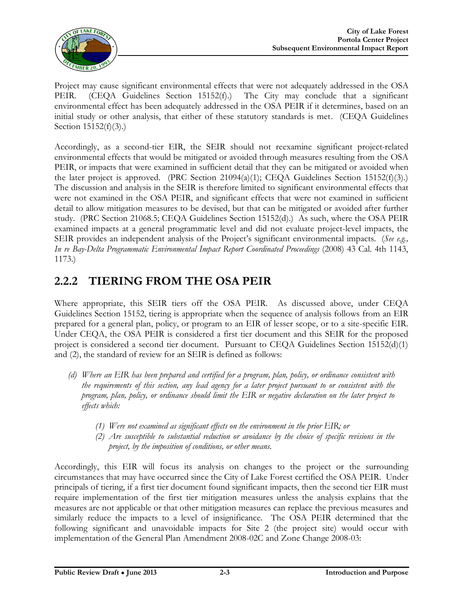

Project may cause significant environmental effects that were not adequately addressed in the OSA PEIR. (CEQA Guidelines Section 15152(f).) The City may conclude that a significant environmental effect has been adequately addressed in the OSA PEIR if it determines, based on an initial study or other analysis, that either of these statutory standards is met. (CEQA Guidelines Section 15152(f)(3).)

Accordingly, as a second-tier EIR, the SEIR should not reexamine significant project-related environmental effects that would be mitigated or avoided through measures resulting from the OSA PEIR, or impacts that were examined in sufficient detail that they can be mitigated or avoided when the later project is approved. (PRC Section 21094(a)(1); CEQA Guidelines Section 15152(f)(3).) The discussion and analysis in the SEIR is therefore limited to significant environmental effects that were not examined in the OSA PEIR, and significant effects that were not examined in sufficient detail to allow mitigation measures to be devised, but that can be mitigated or avoided after further study. (PRC Section 21068.5; CEQA Guidelines Section 15152(d).) As such, where the OSA PEIR examined impacts at a general programmatic level and did not evaluate project-level impacts, the SEIR provides an independent analysis of the Project's significant environmental impacts. (*See e.g., In re Bay-Delta Programmatic Environmental Impact Report Coordinated Proceedings* (2008) 43 Cal. 4th 1143, 1173.)

#### **2.2.2 TIERING FROM THE OSA PEIR**

Where appropriate, this SEIR tiers off the OSA PEIR. As discussed above, under CEQA Guidelines Section 15152, tiering is appropriate when the sequence of analysis follows from an EIR prepared for a general plan, policy, or program to an EIR of lesser scope, or to a site-specific EIR. Under CEQA, the OSA PEIR is considered a first tier document and this SEIR for the proposed project is considered a second tier document. Pursuant to CEQA Guidelines Section  $15152(d)(1)$ and (2), the standard of review for an SEIR is defined as follows:

- *(d) Where an EIR has been prepared and certified for a program, plan, policy, or ordinance consistent with the requirements of this section, any lead agency for a later project pursuant to or consistent with the program, plan, policy, or ordinance should limit the EIR or negative declaration on the later project to effects which:*
	- *(1) Were not examined as significant effects on the environment in the prior EIR; or*
	- *(2) Are susceptible to substantial reduction or avoidance by the choice of specific revisions in the project, by the imposition of conditions, or other means.*

Accordingly, this EIR will focus its analysis on changes to the project or the surrounding circumstances that may have occurred since the City of Lake Forest certified the OSA PEIR. Under principals of tiering, if a first tier document found significant impacts, then the second tier EIR must require implementation of the first tier mitigation measures unless the analysis explains that the measures are not applicable or that other mitigation measures can replace the previous measures and similarly reduce the impacts to a level of insignificance. The OSA PEIR determined that the following significant and unavoidable impacts for Site 2 (the project site) would occur with implementation of the General Plan Amendment 2008-02C and Zone Change 2008-03: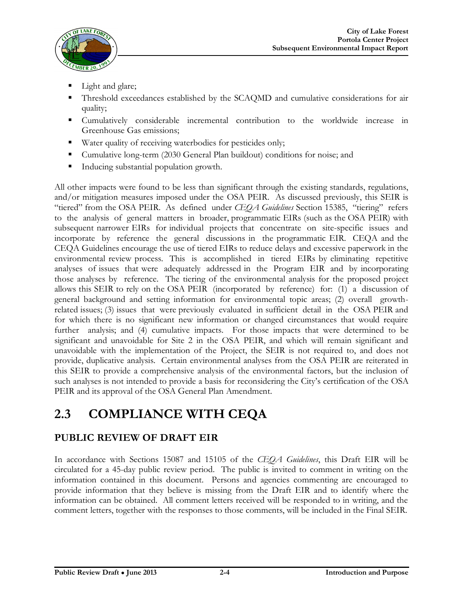

- Light and glare;
- Threshold exceedances established by the SCAQMD and cumulative considerations for air quality;
- Cumulatively considerable incremental contribution to the worldwide increase in Greenhouse Gas emissions;
- Water quality of receiving waterbodies for pesticides only;
- Cumulative long-term (2030 General Plan buildout) conditions for noise; and
- Inducing substantial population growth.

All other impacts were found to be less than significant through the existing standards, regulations, and/or mitigation measures imposed under the OSA PEIR. As discussed previously, this SEIR is "tiered" from the OSA PEIR. As defined under *CEQA Guidelines* Section 15385, "tiering" refers to the analysis of general matters in broader, programmatic EIRs (such as the OSA PEIR) with subsequent narrower EIRs for individual projects that concentrate on site-specific issues and incorporate by reference the general discussions in the programmatic EIR. CEQA and the CEQA Guidelines encourage the use of tiered EIRs to reduce delays and excessive paperwork in the environmental review process. This is accomplished in tiered EIRs by eliminating repetitive analyses of issues that were adequately addressed in the Program EIR and by incorporating those analyses by reference. The tiering of the environmental analysis for the proposed project allows this SEIR to rely on the OSA PEIR (incorporated by reference) for: (1) a discussion of general background and setting information for environmental topic areas; (2) overall growthrelated issues; (3) issues that were previously evaluated in sufficient detail in the OSA PEIR and for which there is no significant new information or changed circumstances that would require further analysis; and (4) cumulative impacts. For those impacts that were determined to be significant and unavoidable for Site 2 in the OSA PEIR, and which will remain significant and unavoidable with the implementation of the Project, the SEIR is not required to, and does not provide, duplicative analysis. Certain environmental analyses from the OSA PEIR are reiterated in this SEIR to provide a comprehensive analysis of the environmental factors, but the inclusion of such analyses is not intended to provide a basis for reconsidering the City's certification of the OSA PEIR and its approval of the OSA General Plan Amendment.

### **2.3 COMPLIANCE WITH CEQA**

#### **PUBLIC REVIEW OF DRAFT EIR**

In accordance with Sections 15087 and 15105 of the *CEQA Guidelines*, this Draft EIR will be circulated for a 45-day public review period. The public is invited to comment in writing on the information contained in this document. Persons and agencies commenting are encouraged to provide information that they believe is missing from the Draft EIR and to identify where the information can be obtained. All comment letters received will be responded to in writing, and the comment letters, together with the responses to those comments, will be included in the Final SEIR.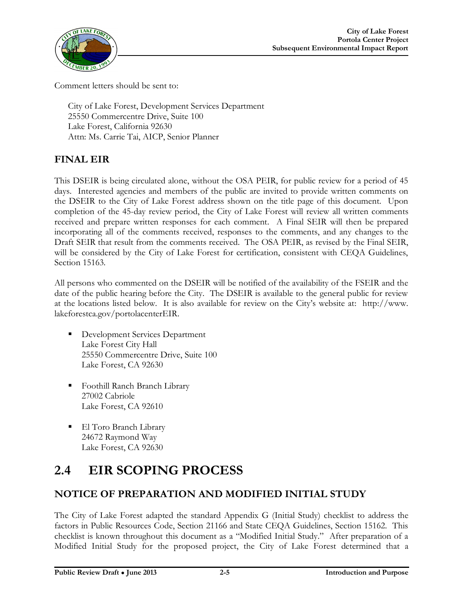

Comment letters should be sent to:

City of Lake Forest, Development Services Department 25550 Commercentre Drive, Suite 100 Lake Forest, California 92630 Attn: Ms. Carrie Tai, AICP, Senior Planner

#### **FINAL EIR**

This DSEIR is being circulated alone, without the OSA PEIR, for public review for a period of 45 days. Interested agencies and members of the public are invited to provide written comments on the DSEIR to the City of Lake Forest address shown on the title page of this document. Upon completion of the 45-day review period, the City of Lake Forest will review all written comments received and prepare written responses for each comment. A Final SEIR will then be prepared incorporating all of the comments received, responses to the comments, and any changes to the Draft SEIR that result from the comments received. The OSA PEIR, as revised by the Final SEIR, will be considered by the City of Lake Forest for certification, consistent with CEQA Guidelines, Section 15163.

All persons who commented on the DSEIR will be notified of the availability of the FSEIR and the date of the public hearing before the City. The DSEIR is available to the general public for review at the locations listed below. It is also available for review on the City's website at: <http://www>. lakeforestca.gov/portolacenterEIR.

- Development Services Department Lake Forest City Hall 25550 Commercentre Drive, Suite 100 Lake Forest, CA 92630
- Foothill Ranch Branch Library 27002 Cabriole Lake Forest, CA 92610
- El Toro Branch Library 24672 Raymond Way Lake Forest, CA 92630

### **2.4 EIR SCOPING PROCESS**

#### **NOTICE OF PREPARATION AND MODIFIED INITIAL STUDY**

The City of Lake Forest adapted the standard Appendix G (Initial Study) checklist to address the factors in Public Resources Code, Section 21166 and State CEQA Guidelines, Section 15162. This checklist is known throughout this document as a "Modified Initial Study." After preparation of a Modified Initial Study for the proposed project, the City of Lake Forest determined that a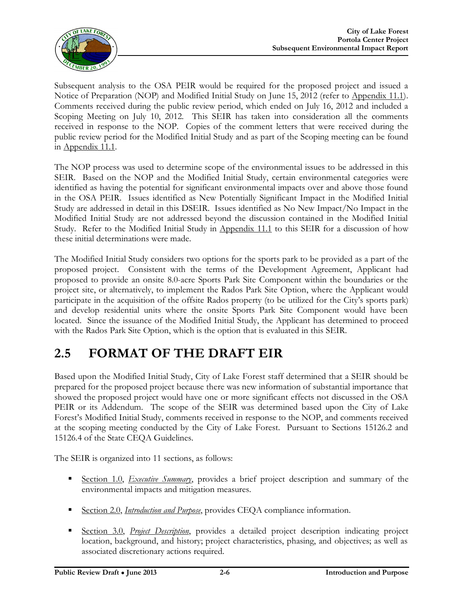

Subsequent analysis to the OSA PEIR would be required for the proposed project and issued a Notice of Preparation (NOP) and Modified Initial Study on June 15, 2012 (refer to Appendix 11.1). Comments received during the public review period, which ended on July 16, 2012 and included a Scoping Meeting on July 10, 2012. This SEIR has taken into consideration all the comments received in response to the NOP. Copies of the comment letters that were received during the public review period for the Modified Initial Study and as part of the Scoping meeting can be found in Appendix 11.1.

The NOP process was used to determine scope of the environmental issues to be addressed in this SEIR. Based on the NOP and the Modified Initial Study, certain environmental categories were identified as having the potential for significant environmental impacts over and above those found in the OSA PEIR. Issues identified as New Potentially Significant Impact in the Modified Initial Study are addressed in detail in this DSEIR. Issues identified as No New Impact/No Impact in the Modified Initial Study are not addressed beyond the discussion contained in the Modified Initial Study. Refer to the Modified Initial Study in Appendix 11.1 to this SEIR for a discussion of how these initial determinations were made.

The Modified Initial Study considers two options for the sports park to be provided as a part of the proposed project. Consistent with the terms of the Development Agreement, Applicant had proposed to provide an onsite 8.0-acre Sports Park Site Component within the boundaries or the project site, or alternatively, to implement the Rados Park Site Option, where the Applicant would participate in the acquisition of the offsite Rados property (to be utilized for the City's sports park) and develop residential units where the onsite Sports Park Site Component would have been located. Since the issuance of the Modified Initial Study, the Applicant has determined to proceed with the Rados Park Site Option, which is the option that is evaluated in this SEIR.

### **2.5 FORMAT OF THE DRAFT EIR**

Based upon the Modified Initial Study, City of Lake Forest staff determined that a SEIR should be prepared for the proposed project because there was new information of substantial importance that showed the proposed project would have one or more significant effects not discussed in the OSA PEIR or its Addendum. The scope of the SEIR was determined based upon the City of Lake Forest's Modified Initial Study, comments received in response to the NOP, and comments received at the scoping meeting conducted by the City of Lake Forest. Pursuant to Sections 15126.2 and 15126.4 of the State CEQA Guidelines.

The SEIR is organized into 11 sections, as follows:

- Section 1.0, *Executive Summary*, provides a brief project description and summary of the environmental impacts and mitigation measures.
- Section 2.0, *Introduction and Purpose*, provides CEQA compliance information.
- Section 3.0, *Project Description*, provides a detailed project description indicating project location, background, and history; project characteristics, phasing, and objectives; as well as associated discretionary actions required.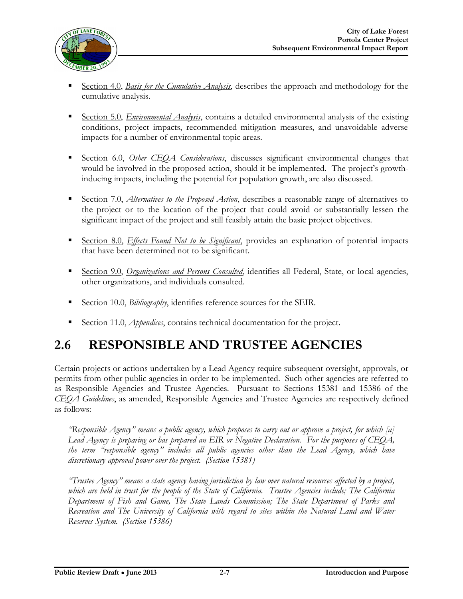

- Section 4.0, *Basis for the Cumulative Analysis*, describes the approach and methodology for the cumulative analysis.
- Section 5.0, *Environmental Analysis*, contains a detailed environmental analysis of the existing conditions, project impacts, recommended mitigation measures, and unavoidable adverse impacts for a number of environmental topic areas.
- Section 6.0, *Other CEQA Considerations*, discusses significant environmental changes that would be involved in the proposed action, should it be implemented. The project's growthinducing impacts, including the potential for population growth, are also discussed.
- Section 7.0, *Alternatives to the Proposed Action*, describes a reasonable range of alternatives to the project or to the location of the project that could avoid or substantially lessen the significant impact of the project and still feasibly attain the basic project objectives.
- Section 8.0, *Effects Found Not to be Significant*, provides an explanation of potential impacts that have been determined not to be significant.
- Section 9.0, *Organizations and Persons Consulted*, identifies all Federal, State, or local agencies, other organizations, and individuals consulted.
- Section 10.0, *Bibliography*, identifies reference sources for the SEIR.
- Section 11.0, *Appendices*, contains technical documentation for the project.

### **2.6 RESPONSIBLE AND TRUSTEE AGENCIES**

Certain projects or actions undertaken by a Lead Agency require subsequent oversight, approvals, or permits from other public agencies in order to be implemented. Such other agencies are referred to as Responsible Agencies and Trustee Agencies. Pursuant to Sections 15381 and 15386 of the *CEQA Guidelines*, as amended, Responsible Agencies and Trustee Agencies are respectively defined as follows:

*"Responsible Agency" means a public agency, which proposes to carry out or approve a project, for which [a] Lead Agency is preparing or has prepared an EIR or Negative Declaration. For the purposes of CEQA, the term "responsible agency" includes all public agencies other than the Lead Agency, which have discretionary approval power over the project. (Section 15381)*

*"Trustee Agency" means a state agency having jurisdiction by law over natural resources affected by a project, which are held in trust for the people of the State of California. Trustee Agencies include; The California Department of Fish and Game, The State Lands Commission; The State Department of Parks and Recreation and The University of California with regard to sites within the Natural Land and Water Reserves System. (Section 15386)*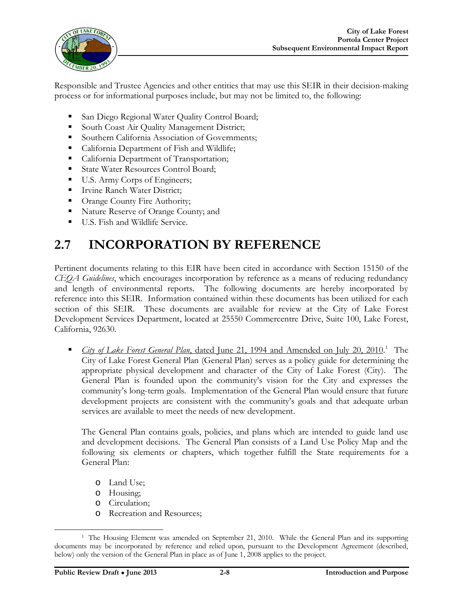

Responsible and Trustee Agencies and other entities that may use this SEIR in their decision-making process or for informational purposes include, but may not be limited to, the following:

- San Diego Regional Water Quality Control Board;
- South Coast Air Quality Management District;
- Southern California Association of Governments;
- California Department of Fish and Wildlife;
- California Department of Transportation;
- **State Water Resources Control Board;**
- U.S. Army Corps of Engineers;
- **Irvine Ranch Water District;**
- Orange County Fire Authority;
- Nature Reserve of Orange County; and
- **U.S.** Fish and Wildlife Service.

### **2.7 INCORPORATION BY REFERENCE**

Pertinent documents relating to this EIR have been cited in accordance with Section 15150 of the *CEQA Guidelines*, which encourages incorporation by reference as a means of reducing redundancy and length of environmental reports. The following documents are hereby incorporated by reference into this SEIR. Information contained within these documents has been utilized for each section of this SEIR. These documents are available for review at the City of Lake Forest Development Services Department, located at 25550 Commercentre Drive, Suite 100, Lake Forest, California, 92630.

**City of Lake Forest General Plan, dated June 21, 1994 and Amended on July 20, 2010.**<sup>1</sup> The City of Lake Forest General Plan (General Plan) serves as a policy guide for determining the appropriate physical development and character of the City of Lake Forest (City). The General Plan is founded upon the community's vision for the City and expresses the community's long-term goals. Implementation of the General Plan would ensure that future development projects are consistent with the community's goals and that adequate urban services are available to meet the needs of new development.

The General Plan contains goals, policies, and plans which are intended to guide land use and development decisions. The General Plan consists of a Land Use Policy Map and the following six elements or chapters, which together fulfill the State requirements for a General Plan:

- o Land Use;
- o Housing;
- o Circulation;
- o Recreation and Resources;

 $\overline{a}$ <sup>1</sup> The Housing Element was amended on September 21, 2010. While the General Plan and its supporting documents may be incorporated by reference and relied upon, pursuant to the Development Agreement (described, below) only the version of the General Plan in place as of June 1, 2008 applies to the project.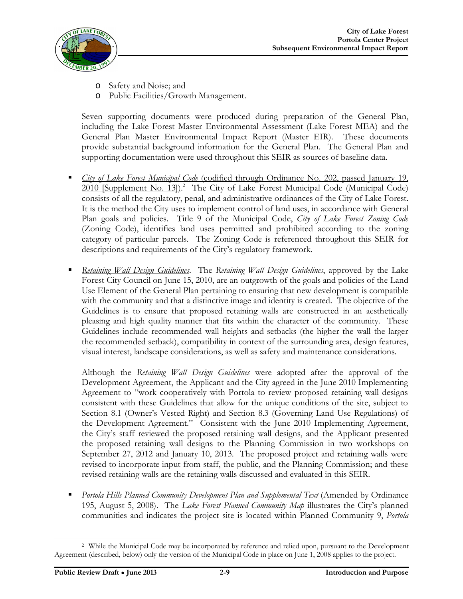

- o Safety and Noise; and
- o Public Facilities/Growth Management.

Seven supporting documents were produced during preparation of the General Plan, including the Lake Forest Master Environmental Assessment (Lake Forest MEA) and the General Plan Master Environmental Impact Report (Master EIR). These documents provide substantial background information for the General Plan. The General Plan and supporting documentation were used throughout this SEIR as sources of baseline data.

- *City of Lake Forest Municipal Code* (codified through Ordinance No. 202, passed January 19, 2010 [Supplement No. 13]).<sup>2</sup> The City of Lake Forest Municipal Code (Municipal Code) consists of all the regulatory, penal, and administrative ordinances of the City of Lake Forest. It is the method the City uses to implement control of land uses, in accordance with General Plan goals and policies. Title 9 of the Municipal Code, *City of Lake Forest Zoning Code* (Zoning Code), identifies land uses permitted and prohibited according to the zoning category of particular parcels. The Zoning Code is referenced throughout this SEIR for descriptions and requirements of the City's regulatory framework.
- *Retaining Wall Design Guidelines*. The *Retaining Wall Design Guidelines*, approved by the Lake Forest City Council on June 15, 2010, are an outgrowth of the goals and policies of the Land Use Element of the General Plan pertaining to ensuring that new development is compatible with the community and that a distinctive image and identity is created. The objective of the Guidelines is to ensure that proposed retaining walls are constructed in an aesthetically pleasing and high quality manner that fits within the character of the community. These Guidelines include recommended wall heights and setbacks (the higher the wall the larger the recommended setback), compatibility in context of the surrounding area, design features, visual interest, landscape considerations, as well as safety and maintenance considerations.

Although the *Retaining Wall Design Guidelines* were adopted after the approval of the Development Agreement, the Applicant and the City agreed in the June 2010 Implementing Agreement to "work cooperatively with Portola to review proposed retaining wall designs consistent with these Guidelines that allow for the unique conditions of the site, subject to Section 8.1 (Owner's Vested Right) and Section 8.3 (Governing Land Use Regulations) of the Development Agreement." Consistent with the June 2010 Implementing Agreement, the City's staff reviewed the proposed retaining wall designs, and the Applicant presented the proposed retaining wall designs to the Planning Commission in two workshops on September 27, 2012 and January 10, 2013. The proposed project and retaining walls were revised to incorporate input from staff, the public, and the Planning Commission; and these revised retaining walls are the retaining walls discussed and evaluated in this SEIR.

*Portola Hills Planned Community Development Plan and Supplemental Text (Amended by Ordinance* 195, August 5, 2008). The *Lake Forest Planned Community Map* illustrates the City's planned communities and indicates the project site is located within Planned Community 9, *Portola* 

 $\overline{a}$ <sup>2</sup> While the Municipal Code may be incorporated by reference and relied upon, pursuant to the Development Agreement (described, below) only the version of the Municipal Code in place on June 1, 2008 applies to the project.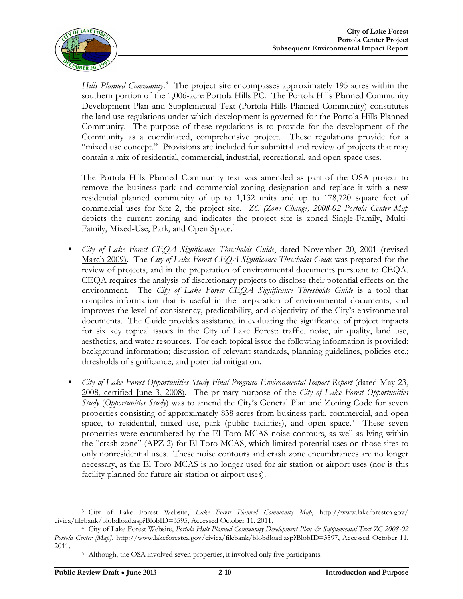

Hills Planned Community.<sup>3</sup> The project site encompasses approximately 195 acres within the southern portion of the 1,006-acre Portola Hills PC. The Portola Hills Planned Community Development Plan and Supplemental Text (Portola Hills Planned Community) constitutes the land use regulations under which development is governed for the Portola Hills Planned Community. The purpose of these regulations is to provide for the development of the Community as a coordinated, comprehensive project. These regulations provide for a "mixed use concept." Provisions are included for submittal and review of projects that may contain a mix of residential, commercial, industrial, recreational, and open space uses.

The Portola Hills Planned Community text was amended as part of the OSA project to remove the business park and commercial zoning designation and replace it with a new residential planned community of up to 1,132 units and up to 178,720 square feet of commercial uses for Site 2, the project site. *ZC (Zone Change) 2008-02 Portola Center Map* depicts the current zoning and indicates the project site is zoned Single-Family, Multi-Family, Mixed-Use, Park, and Open Space.<sup>4</sup>

- *City of Lake Forest CEQA Significance Thresholds Guide*, dated November 20, 2001 (revised March 2009). The *City of Lake Forest CEQA Significance Thresholds Guide* was prepared for the review of projects, and in the preparation of environmental documents pursuant to CEQA. CEQA requires the analysis of discretionary projects to disclose their potential effects on the environment. The *City of Lake Forest CEQA Significance Thresholds Guide* is a tool that compiles information that is useful in the preparation of environmental documents, and improves the level of consistency, predictability, and objectivity of the City's environmental documents. The Guide provides assistance in evaluating the significance of project impacts for six key topical issues in the City of Lake Forest: traffic, noise, air quality, land use, aesthetics, and water resources. For each topical issue the following information is provided: background information; discussion of relevant standards, planning guidelines, policies etc.; thresholds of significance; and potential mitigation.
- *City of Lake Forest Opportunities Study Final Program Environmental Impact Report (dated May 23,* 2008, certified June 3, 2008). The primary purpose of the *City of Lake Forest Opportunities Study* (*Opportunities Study*) was to amend the City's General Plan and Zoning Code for seven properties consisting of approximately 838 acres from business park, commercial, and open space, to residential, mixed use, park (public facilities), and open space.<sup>5</sup> These seven properties were encumbered by the El Toro MCAS noise contours, as well as lying within the "crash zone" (APZ 2) for El Toro MCAS, which limited potential uses on those sites to only nonresidential uses. These noise contours and crash zone encumbrances are no longer necessary, as the El Toro MCAS is no longer used for air station or airport uses (nor is this facility planned for future air station or airport uses).

<sup>3</sup> City of Lake Forest Website, *Lake Forest Planned Community Map*, <http://www.lakeforestca.gov/> civica/filebank/blobdload.asp?BlobID=3595, Accessed October 11, 2011.

<sup>4</sup> City of Lake Forest Website, *Portola Hills Planned Community Development Plan & Supplemental Text ZC 2008-02 Portola Center [Map]*, <http://www.lakeforestca.gov/civica/filebank/blobdload.asp?BlobID=3597>, Accessed October 11, 2011.

<sup>5</sup> Although, the OSA involved seven properties, it involved only five participants.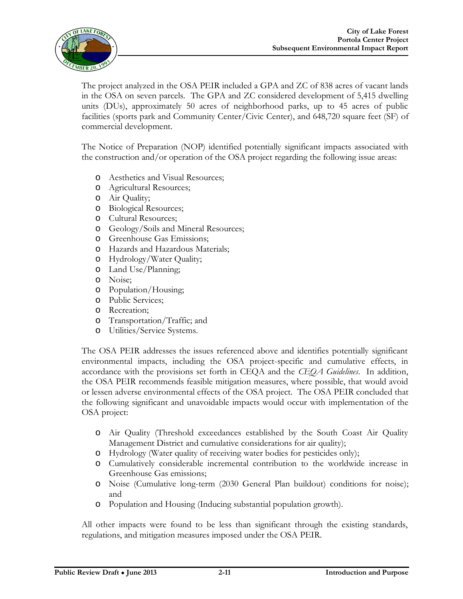

The project analyzed in the OSA PEIR included a GPA and ZC of 838 acres of vacant lands in the OSA on seven parcels. The GPA and ZC considered development of 5,415 dwelling units (DUs), approximately 50 acres of neighborhood parks, up to 45 acres of public facilities (sports park and Community Center/Civic Center), and 648,720 square feet (SF) of commercial development.

The Notice of Preparation (NOP) identified potentially significant impacts associated with the construction and/or operation of the OSA project regarding the following issue areas:

- o Aesthetics and Visual Resources;
- o Agricultural Resources;
- o Air Quality;
- o Biological Resources;
- o Cultural Resources;
- o Geology/Soils and Mineral Resources;
- o Greenhouse Gas Emissions;
- o Hazards and Hazardous Materials;
- o Hydrology/Water Quality;
- o Land Use/Planning;
- o Noise;
- o Population/Housing;
- o Public Services;
- o Recreation;
- o Transportation/Traffic; and
- o Utilities/Service Systems.

The OSA PEIR addresses the issues referenced above and identifies potentially significant environmental impacts, including the OSA project-specific and cumulative effects, in accordance with the provisions set forth in CEQA and the *CEQA Guidelines*. In addition, the OSA PEIR recommends feasible mitigation measures, where possible, that would avoid or lessen adverse environmental effects of the OSA project. The OSA PEIR concluded that the following significant and unavoidable impacts would occur with implementation of the OSA project:

- o Air Quality (Threshold exceedances established by the South Coast Air Quality Management District and cumulative considerations for air quality);
- o Hydrology (Water quality of receiving water bodies for pesticides only);
- o Cumulatively considerable incremental contribution to the worldwide increase in Greenhouse Gas emissions;
- o Noise (Cumulative long-term (2030 General Plan buildout) conditions for noise); and
- o Population and Housing (Inducing substantial population growth).

All other impacts were found to be less than significant through the existing standards, regulations, and mitigation measures imposed under the OSA PEIR.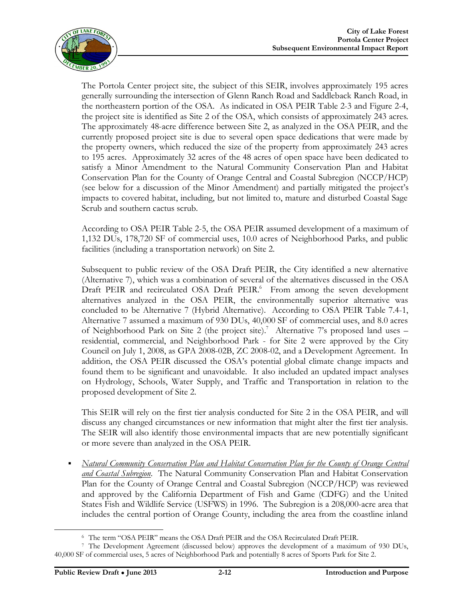

The Portola Center project site, the subject of this SEIR, involves approximately 195 acres generally surrounding the intersection of Glenn Ranch Road and Saddleback Ranch Road, in the northeastern portion of the OSA. As indicated in OSA PEIR Table 2-3 and Figure 2-4, the project site is identified as Site 2 of the OSA, which consists of approximately 243 acres. The approximately 48-acre difference between Site 2, as analyzed in the OSA PEIR, and the currently proposed project site is due to several open space dedications that were made by the property owners, which reduced the size of the property from approximately 243 acres to 195 acres. Approximately 32 acres of the 48 acres of open space have been dedicated to satisfy a Minor Amendment to the Natural Community Conservation Plan and Habitat Conservation Plan for the County of Orange Central and Coastal Subregion (NCCP/HCP) (see below for a discussion of the Minor Amendment) and partially mitigated the project's impacts to covered habitat, including, but not limited to, mature and disturbed Coastal Sage Scrub and southern cactus scrub.

According to OSA PEIR Table 2-5, the OSA PEIR assumed development of a maximum of 1,132 DUs, 178,720 SF of commercial uses, 10.0 acres of Neighborhood Parks, and public facilities (including a transportation network) on Site 2.

Subsequent to public review of the OSA Draft PEIR, the City identified a new alternative (Alternative 7), which was a combination of several of the alternatives discussed in the OSA Draft PEIR and recirculated OSA Draft PEIR.<sup>6</sup> From among the seven development alternatives analyzed in the OSA PEIR, the environmentally superior alternative was concluded to be Alternative 7 (Hybrid Alternative). According to OSA PEIR Table 7.4-1, Alternative 7 assumed a maximum of 930 DUs, 40,000 SF of commercial uses, and 8.0 acres of Neighborhood Park on Site 2 (the project site).<sup>7</sup> Alternative 7's proposed land uses residential, commercial, and Neighborhood Park - for Site 2 were approved by the City Council on July 1, 2008, as GPA 2008-02B, ZC 2008-02, and a Development Agreement. In addition, the OSA PEIR discussed the OSA's potential global climate change impacts and found them to be significant and unavoidable. It also included an updated impact analyses on Hydrology, Schools, Water Supply, and Traffic and Transportation in relation to the proposed development of Site 2.

This SEIR will rely on the first tier analysis conducted for Site 2 in the OSA PEIR, and will discuss any changed circumstances or new information that might alter the first tier analysis. The SEIR will also identify those environmental impacts that are new potentially significant or more severe than analyzed in the OSA PEIR.

 *Natural Community Conservation Plan and Habitat Conservation Plan for the County of Orange Central and Coastal Subregion*. The Natural Community Conservation Plan and Habitat Conservation Plan for the County of Orange Central and Coastal Subregion (NCCP/HCP) was reviewed and approved by the California Department of Fish and Game (CDFG) and the United States Fish and Wildlife Service (USFWS) in 1996. The Subregion is a 208,000-acre area that includes the central portion of Orange County, including the area from the coastline inland

 $\overline{a}$ 

<sup>6</sup> The term "OSA PEIR" means the OSA Draft PEIR and the OSA Recirculated Draft PEIR.

<sup>7</sup> The Development Agreement (discussed below) approves the development of a maximum of 930 DUs, 40,000 SF of commercial uses, 5 acres of Neighborhood Park and potentially 8 acres of Sports Park for Site 2.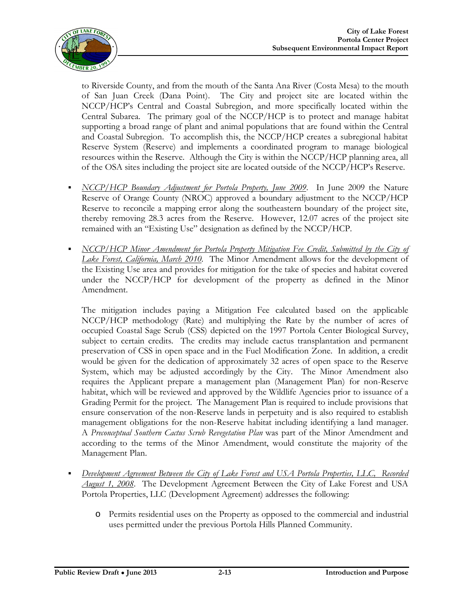

to Riverside County, and from the mouth of the Santa Ana River (Costa Mesa) to the mouth of San Juan Creek (Dana Point). The City and project site are located within the NCCP/HCP's Central and Coastal Subregion, and more specifically located within the Central Subarea. The primary goal of the NCCP/HCP is to protect and manage habitat supporting a broad range of plant and animal populations that are found within the Central and Coastal Subregion. To accomplish this, the NCCP/HCP creates a subregional habitat Reserve System (Reserve) and implements a coordinated program to manage biological resources within the Reserve. Although the City is within the NCCP/HCP planning area, all of the OSA sites including the project site are located outside of the NCCP/HCP's Reserve.

- *NCCP/HCP Boundary Adjustment for Portola Property, June 2009*. In June 2009 the Nature Reserve of Orange County (NROC) approved a boundary adjustment to the NCCP/HCP Reserve to reconcile a mapping error along the southeastern boundary of the project site, thereby removing 28.3 acres from the Reserve. However, 12.07 acres of the project site remained with an "Existing Use" designation as defined by the NCCP/HCP.
- **NCCP/HCP Minor Amendment for Portola Property Mitigation Fee Credit, Submitted by the City of** *Lake Forest, California, March 2010*.The Minor Amendment allows for the development of the Existing Use area and provides for mitigation for the take of species and habitat covered under the NCCP/HCP for development of the property as defined in the Minor Amendment.

The mitigation includes paying a Mitigation Fee calculated based on the applicable NCCP/HCP methodology (Rate) and multiplying the Rate by the number of acres of occupied Coastal Sage Scrub (CSS) depicted on the 1997 Portola Center Biological Survey, subject to certain credits. The credits may include cactus transplantation and permanent preservation of CSS in open space and in the Fuel Modification Zone. In addition, a credit would be given for the dedication of approximately 32 acres of open space to the Reserve System, which may be adjusted accordingly by the City. The Minor Amendment also requires the Applicant prepare a management plan (Management Plan) for non-Reserve habitat, which will be reviewed and approved by the Wildlife Agencies prior to issuance of a Grading Permit for the project. The Management Plan is required to include provisions that ensure conservation of the non-Reserve lands in perpetuity and is also required to establish management obligations for the non-Reserve habitat including identifying a land manager. A *Preconceptual Southern Cactus Scrub Revegetation Plan* was part of the Minor Amendment and according to the terms of the Minor Amendment, would constitute the majority of the Management Plan.

- *Development Agreement Between the City of Lake Forest and USA Portola Properties, LLC, Recorded August 1, 2008*. The Development Agreement Between the City of Lake Forest and USA Portola Properties, LLC (Development Agreement) addresses the following:
	- o Permits residential uses on the Property as opposed to the commercial and industrial uses permitted under the previous Portola Hills Planned Community.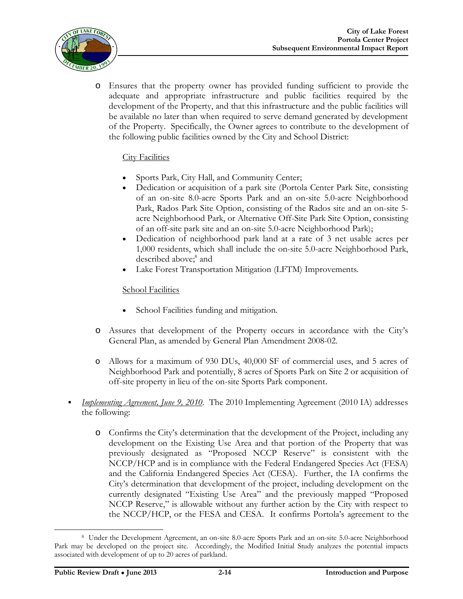

o Ensures that the property owner has provided funding sufficient to provide the adequate and appropriate infrastructure and public facilities required by the development of the Property, and that this infrastructure and the public facilities will be available no later than when required to serve demand generated by development of the Property. Specifically, the Owner agrees to contribute to the development of the following public facilities owned by the City and School District:

#### City Facilities

- Sports Park, City Hall, and Community Center;
- Dedication or acquisition of a park site (Portola Center Park Site, consisting of an on-site 8.0-acre Sports Park and an on-site 5.0-acre Neighborhood Park, Rados Park Site Option, consisting of the Rados site and an on-site 5 acre Neighborhood Park, or Alternative Off-Site Park Site Option, consisting of an off-site park site and an on-site 5.0-acre Neighborhood Park);
- Dedication of neighborhood park land at a rate of 3 net usable acres per 1,000 residents, which shall include the on-site 5.0-acre Neighborhood Park, described above; 8 and
- Lake Forest Transportation Mitigation (LFTM) Improvements.

#### School Facilities

- School Facilities funding and mitigation.
- o Assures that development of the Property occurs in accordance with the City's General Plan, as amended by General Plan Amendment 2008-02.
- o Allows for a maximum of 930 DUs, 40,000 SF of commercial uses, and 5 acres of Neighborhood Park and potentially, 8 acres of Sports Park on Site 2 or acquisition of off-site property in lieu of the on-site Sports Park component.
- *Implementing Agreement, June 9, 2010*. The 2010 Implementing Agreement (2010 IA) addresses the following:
	- o Confirms the City's determination that the development of the Project, including any development on the Existing Use Area and that portion of the Property that was previously designated as "Proposed NCCP Reserve" is consistent with the NCCP/HCP and is in compliance with the Federal Endangered Species Act (FESA) and the California Endangered Species Act (CESA). Further, the IA confirms the City's determination that development of the project, including development on the currently designated "Existing Use Area" and the previously mapped "Proposed NCCP Reserve," is allowable without any further action by the City with respect to the NCCP/HCP, or the FESA and CESA. It confirms Portola's agreement to the

 $\overline{a}$ <sup>8</sup> Under the Development Agreement, an on-site 8.0-acre Sports Park and an on-site 5.0-acre Neighborhood Park may be developed on the project site. Accordingly, the Modified Initial Study analyzes the potential impacts associated with development of up to 20 acres of parkland.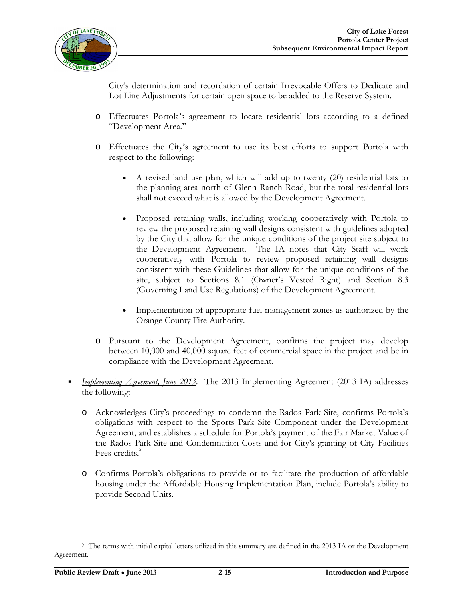

City's determination and recordation of certain Irrevocable Offers to Dedicate and Lot Line Adjustments for certain open space to be added to the Reserve System.

- o Effectuates Portola's agreement to locate residential lots according to a defined "Development Area."
- o Effectuates the City's agreement to use its best efforts to support Portola with respect to the following:
	- A revised land use plan, which will add up to twenty (20) residential lots to the planning area north of Glenn Ranch Road, but the total residential lots shall not exceed what is allowed by the Development Agreement.
	- Proposed retaining walls, including working cooperatively with Portola to review the proposed retaining wall designs consistent with guidelines adopted by the City that allow for the unique conditions of the project site subject to the Development Agreement. The IA notes that City Staff will work cooperatively with Portola to review proposed retaining wall designs consistent with these Guidelines that allow for the unique conditions of the site, subject to Sections 8.1 (Owner's Vested Right) and Section 8.3 (Governing Land Use Regulations) of the Development Agreement.
	- Implementation of appropriate fuel management zones as authorized by the Orange County Fire Authority.
- o Pursuant to the Development Agreement, confirms the project may develop between 10,000 and 40,000 square feet of commercial space in the project and be in compliance with the Development Agreement.
- *Implementing Agreement, June 2013*. The 2013 Implementing Agreement (2013 IA) addresses the following:
	- o Acknowledges City's proceedings to condemn the Rados Park Site, confirms Portola's obligations with respect to the Sports Park Site Component under the Development Agreement, and establishes a schedule for Portola's payment of the Fair Market Value of the Rados Park Site and Condemnation Costs and for City's granting of City Facilities Fees credits.<sup>9</sup>
	- o Confirms Portola's obligations to provide or to facilitate the production of affordable housing under the Affordable Housing Implementation Plan, include Portola's ability to provide Second Units.

 $\overline{a}$ <sup>9</sup> The terms with initial capital letters utilized in this summary are defined in the 2013 IA or the Development Agreement.